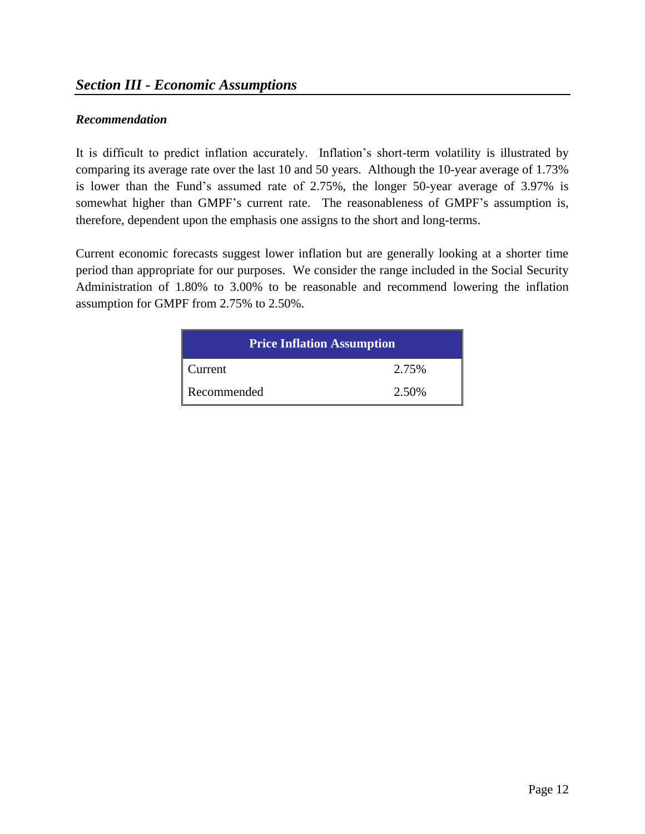#### *Recommendation*

It is difficult to predict inflation accurately. Inflation's short-term volatility is illustrated by comparing its average rate over the last 10 and 50 years. Although the 10-year average of 1.73% is lower than the Fund's assumed rate of 2.75%, the longer 50-year average of 3.97% is somewhat higher than GMPF's current rate. The reasonableness of GMPF's assumption is, therefore, dependent upon the emphasis one assigns to the short and long-terms.

Current economic forecasts suggest lower inflation but are generally looking at a shorter time period than appropriate for our purposes. We consider the range included in the Social Security Administration of 1.80% to 3.00% to be reasonable and recommend lowering the inflation assumption for GMPF from 2.75% to 2.50%.

| <b>Price Inflation Assumption</b> |       |  |  |
|-----------------------------------|-------|--|--|
| Current                           | 2.75% |  |  |
| Recommended                       | 2.50% |  |  |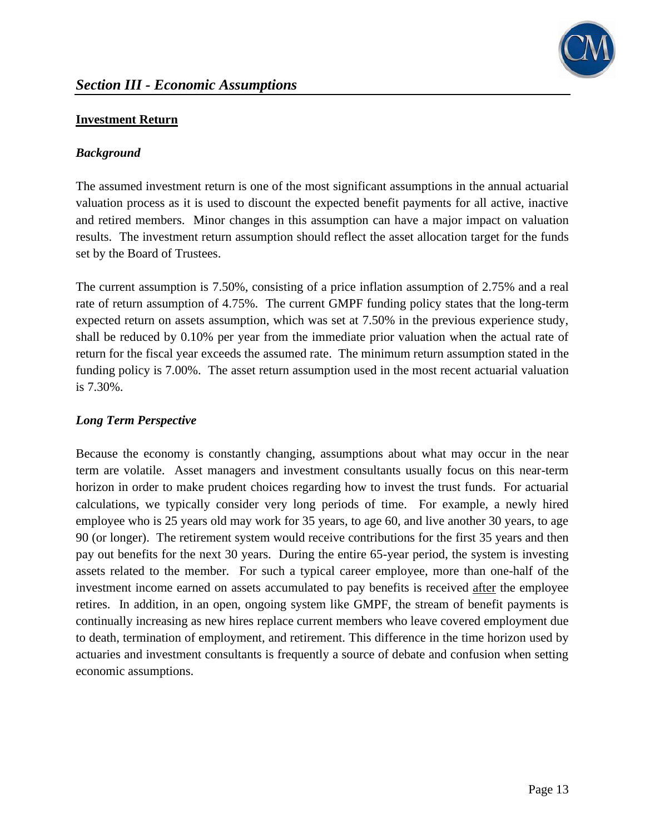

#### **Investment Return**

### *Background*

The assumed investment return is one of the most significant assumptions in the annual actuarial valuation process as it is used to discount the expected benefit payments for all active, inactive and retired members. Minor changes in this assumption can have a major impact on valuation results. The investment return assumption should reflect the asset allocation target for the funds set by the Board of Trustees.

The current assumption is 7.50%, consisting of a price inflation assumption of 2.75% and a real rate of return assumption of 4.75%. The current GMPF funding policy states that the long-term expected return on assets assumption, which was set at 7.50% in the previous experience study, shall be reduced by 0.10% per year from the immediate prior valuation when the actual rate of return for the fiscal year exceeds the assumed rate. The minimum return assumption stated in the funding policy is 7.00%. The asset return assumption used in the most recent actuarial valuation is 7.30%.

## *Long Term Perspective*

Because the economy is constantly changing, assumptions about what may occur in the near term are volatile. Asset managers and investment consultants usually focus on this near-term horizon in order to make prudent choices regarding how to invest the trust funds. For actuarial calculations, we typically consider very long periods of time. For example, a newly hired employee who is 25 years old may work for 35 years, to age 60, and live another 30 years, to age 90 (or longer). The retirement system would receive contributions for the first 35 years and then pay out benefits for the next 30 years. During the entire 65-year period, the system is investing assets related to the member. For such a typical career employee, more than one-half of the investment income earned on assets accumulated to pay benefits is received after the employee retires. In addition, in an open, ongoing system like GMPF, the stream of benefit payments is continually increasing as new hires replace current members who leave covered employment due to death, termination of employment, and retirement. This difference in the time horizon used by actuaries and investment consultants is frequently a source of debate and confusion when setting economic assumptions.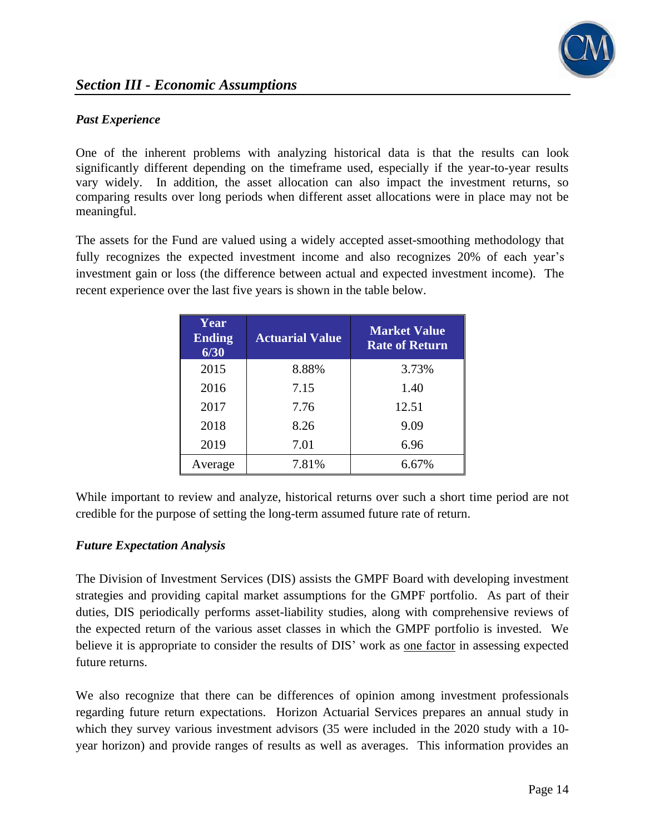

## *Past Experience*

One of the inherent problems with analyzing historical data is that the results can look significantly different depending on the timeframe used, especially if the year-to-year results vary widely. In addition, the asset allocation can also impact the investment returns, so comparing results over long periods when different asset allocations were in place may not be meaningful.

The assets for the Fund are valued using a widely accepted asset-smoothing methodology that fully recognizes the expected investment income and also recognizes 20% of each year's investment gain or loss (the difference between actual and expected investment income). The recent experience over the last five years is shown in the table below.

| Year<br><b>Ending</b><br>6/30 | <b>Actuarial Value</b> | <b>Market Value</b><br><b>Rate of Return</b> |
|-------------------------------|------------------------|----------------------------------------------|
| 2015                          | 8.88%                  | 3.73%                                        |
| 2016                          | 7.15                   | 1.40                                         |
| 2017                          | 7.76                   | 12.51                                        |
| 2018                          | 8.26                   | 9.09                                         |
| 2019                          | 7.01                   | 6.96                                         |
| Average                       | 7.81%                  | 6.67%                                        |

While important to review and analyze, historical returns over such a short time period are not credible for the purpose of setting the long-term assumed future rate of return.

## *Future Expectation Analysis*

The Division of Investment Services (DIS) assists the GMPF Board with developing investment strategies and providing capital market assumptions for the GMPF portfolio. As part of their duties, DIS periodically performs asset-liability studies, along with comprehensive reviews of the expected return of the various asset classes in which the GMPF portfolio is invested. We believe it is appropriate to consider the results of DIS' work as one factor in assessing expected future returns.

We also recognize that there can be differences of opinion among investment professionals regarding future return expectations. Horizon Actuarial Services prepares an annual study in which they survey various investment advisors (35 were included in the 2020 study with a 10 year horizon) and provide ranges of results as well as averages. This information provides an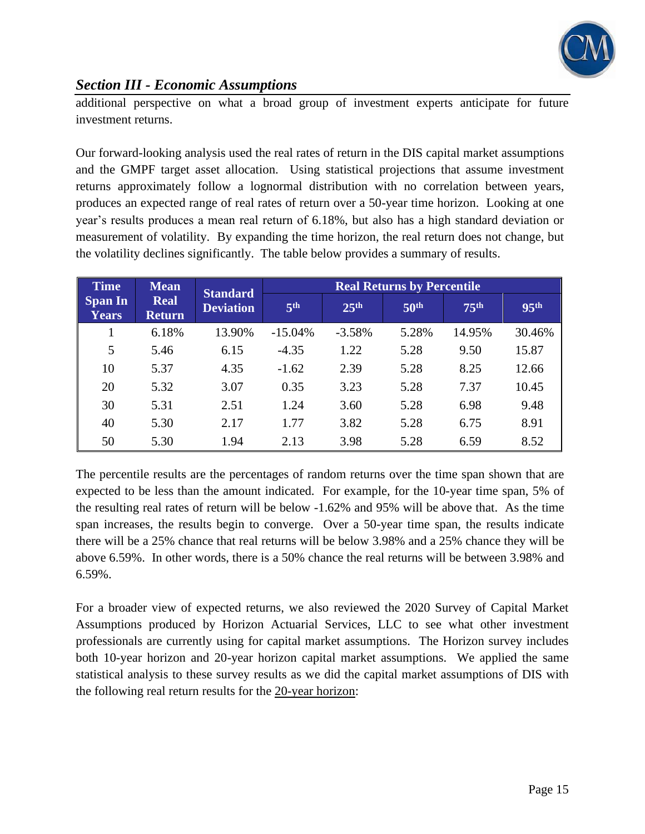

## *Section III - Economic Assumptions*

additional perspective on what a broad group of investment experts anticipate for future investment returns.

Our forward-looking analysis used the real rates of return in the DIS capital market assumptions and the GMPF target asset allocation. Using statistical projections that assume investment returns approximately follow a lognormal distribution with no correlation between years, produces an expected range of real rates of return over a 50-year time horizon. Looking at one year's results produces a mean real return of 6.18%, but also has a high standard deviation or measurement of volatility. By expanding the time horizon, the real return does not change, but the volatility declines significantly. The table below provides a summary of results.

| <b>Time</b>             | <b>Mean</b>           | <b>Standard</b>  |                 |                  | <b>Real Returns by Percentile</b> |                  |                  |
|-------------------------|-----------------------|------------------|-----------------|------------------|-----------------------------------|------------------|------------------|
| <b>Span In</b><br>Years | Real<br><b>Return</b> | <b>Deviation</b> | 5 <sup>th</sup> | 25 <sup>th</sup> | 50 <sup>th</sup>                  | 75 <sup>th</sup> | 95 <sup>th</sup> |
|                         | 6.18%                 | 13.90%           | $-15.04%$       | $-3.58%$         | 5.28%                             | 14.95%           | 30.46%           |
| 5                       | 5.46                  | 6.15             | $-4.35$         | 1.22             | 5.28                              | 9.50             | 15.87            |
| 10                      | 5.37                  | 4.35             | $-1.62$         | 2.39             | 5.28                              | 8.25             | 12.66            |
| 20                      | 5.32                  | 3.07             | 0.35            | 3.23             | 5.28                              | 7.37             | 10.45            |
| 30                      | 5.31                  | 2.51             | 1.24            | 3.60             | 5.28                              | 6.98             | 9.48             |
| 40                      | 5.30                  | 2.17             | 1.77            | 3.82             | 5.28                              | 6.75             | 8.91             |
| 50                      | 5.30                  | 1.94             | 2.13            | 3.98             | 5.28                              | 6.59             | 8.52             |

The percentile results are the percentages of random returns over the time span shown that are expected to be less than the amount indicated. For example, for the 10-year time span, 5% of the resulting real rates of return will be below -1.62% and 95% will be above that. As the time span increases, the results begin to converge. Over a 50-year time span, the results indicate there will be a 25% chance that real returns will be below 3.98% and a 25% chance they will be above 6.59%. In other words, there is a 50% chance the real returns will be between 3.98% and 6.59%.

For a broader view of expected returns, we also reviewed the 2020 Survey of Capital Market Assumptions produced by Horizon Actuarial Services, LLC to see what other investment professionals are currently using for capital market assumptions. The Horizon survey includes both 10-year horizon and 20-year horizon capital market assumptions. We applied the same statistical analysis to these survey results as we did the capital market assumptions of DIS with the following real return results for the 20-year horizon: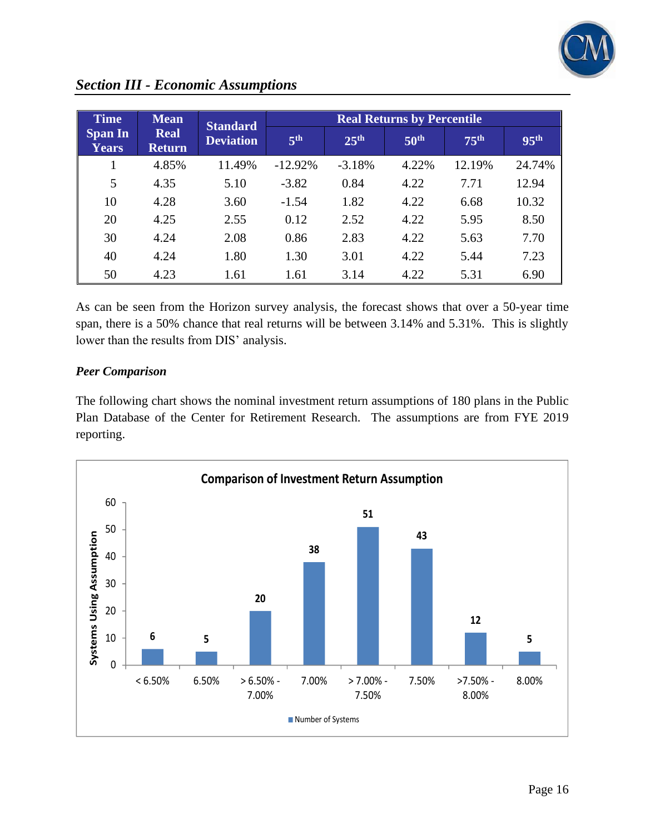

| <b>Time</b>                    | <b>Mean</b>                  | <b>Standard</b>  |                 |                  | <b>Real Returns by Percentile</b> |                  |                  |
|--------------------------------|------------------------------|------------------|-----------------|------------------|-----------------------------------|------------------|------------------|
| <b>Span In</b><br><b>Years</b> | <b>Real</b><br><b>Return</b> | <b>Deviation</b> | 5 <sup>th</sup> | 25 <sup>th</sup> | 50 <sup>th</sup>                  | 75 <sup>th</sup> | 95 <sup>th</sup> |
|                                | 4.85%                        | 11.49%           | $-12.92%$       | $-3.18%$         | 4.22%                             | 12.19%           | 24.74%           |
| 5                              | 4.35                         | 5.10             | $-3.82$         | 0.84             | 4.22                              | 7.71             | 12.94            |
| 10                             | 4.28                         | 3.60             | $-1.54$         | 1.82             | 4.22                              | 6.68             | 10.32            |
| 20                             | 4.25                         | 2.55             | 0.12            | 2.52             | 4.22                              | 5.95             | 8.50             |
| 30                             | 4.24                         | 2.08             | 0.86            | 2.83             | 4.22                              | 5.63             | 7.70             |
| 40                             | 4.24                         | 1.80             | 1.30            | 3.01             | 4.22                              | 5.44             | 7.23             |
| 50                             | 4.23                         | 1.61             | 1.61            | 3.14             | 4.22                              | 5.31             | 6.90             |

## *Section III - Economic Assumptions*

As can be seen from the Horizon survey analysis, the forecast shows that over a 50-year time span, there is a 50% chance that real returns will be between 3.14% and 5.31%. This is slightly lower than the results from DIS' analysis.

#### *Peer Comparison*

The following chart shows the nominal investment return assumptions of 180 plans in the Public Plan Database of the Center for Retirement Research. The assumptions are from FYE 2019 reporting.

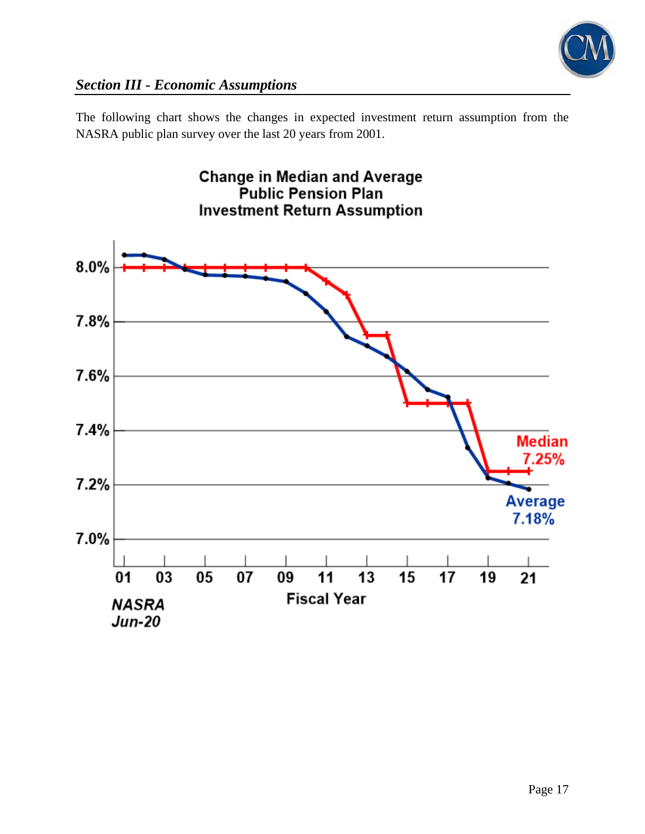

The following chart shows the changes in expected investment return assumption from the NASRA public plan survey over the last 20 years from 2001.

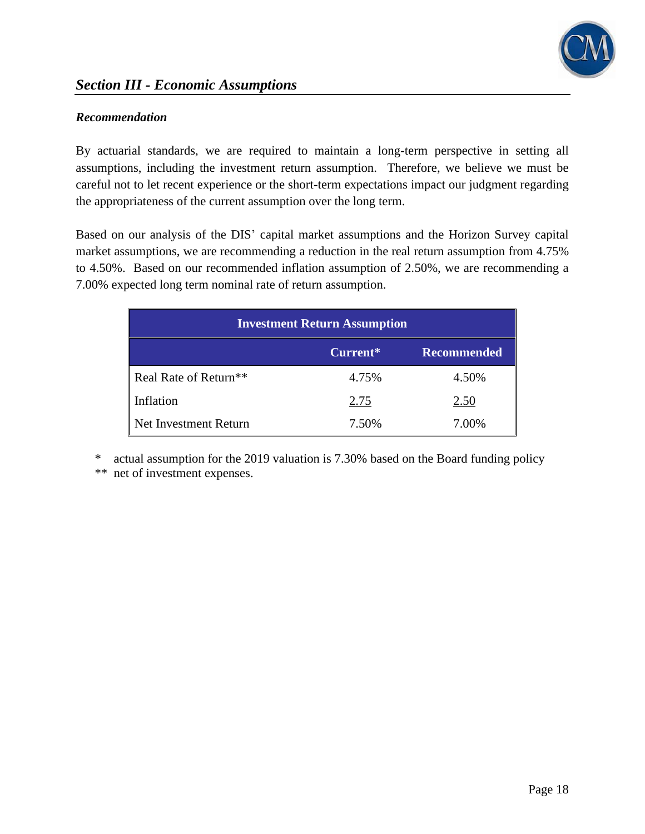

#### *Recommendation*

By actuarial standards, we are required to maintain a long-term perspective in setting all assumptions, including the investment return assumption. Therefore, we believe we must be careful not to let recent experience or the short-term expectations impact our judgment regarding the appropriateness of the current assumption over the long term.

Based on our analysis of the DIS' capital market assumptions and the Horizon Survey capital market assumptions, we are recommending a reduction in the real return assumption from 4.75% to 4.50%. Based on our recommended inflation assumption of 2.50%, we are recommending a 7.00% expected long term nominal rate of return assumption.

| <b>Investment Return Assumption</b> |          |                    |  |
|-------------------------------------|----------|--------------------|--|
|                                     | Current* | <b>Recommended</b> |  |
| Real Rate of Return <sup>**</sup>   | 4.75%    | 4.50%              |  |
| Inflation                           | 2.75     | 2.50               |  |
| Net Investment Return               | 7.50%    | 7.00%              |  |

\* actual assumption for the 2019 valuation is 7.30% based on the Board funding policy \*\* net of investment expenses.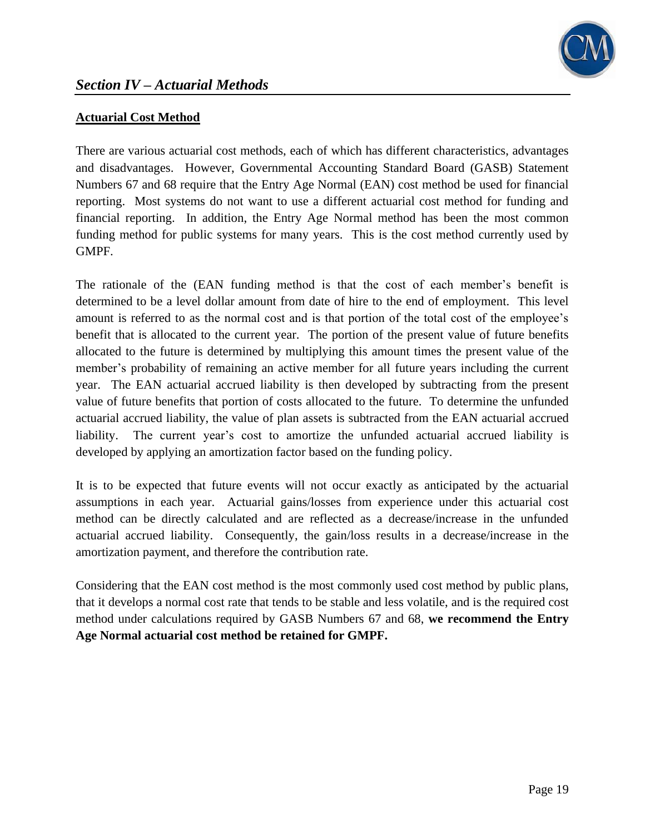

### **Actuarial Cost Method**

There are various actuarial cost methods, each of which has different characteristics, advantages and disadvantages. However, Governmental Accounting Standard Board (GASB) Statement Numbers 67 and 68 require that the Entry Age Normal (EAN) cost method be used for financial reporting. Most systems do not want to use a different actuarial cost method for funding and financial reporting. In addition, the Entry Age Normal method has been the most common funding method for public systems for many years. This is the cost method currently used by GMPF.

The rationale of the (EAN funding method is that the cost of each member's benefit is determined to be a level dollar amount from date of hire to the end of employment. This level amount is referred to as the normal cost and is that portion of the total cost of the employee's benefit that is allocated to the current year. The portion of the present value of future benefits allocated to the future is determined by multiplying this amount times the present value of the member's probability of remaining an active member for all future years including the current year. The EAN actuarial accrued liability is then developed by subtracting from the present value of future benefits that portion of costs allocated to the future. To determine the unfunded actuarial accrued liability, the value of plan assets is subtracted from the EAN actuarial accrued liability. The current year's cost to amortize the unfunded actuarial accrued liability is developed by applying an amortization factor based on the funding policy.

It is to be expected that future events will not occur exactly as anticipated by the actuarial assumptions in each year. Actuarial gains/losses from experience under this actuarial cost method can be directly calculated and are reflected as a decrease/increase in the unfunded actuarial accrued liability. Consequently, the gain/loss results in a decrease/increase in the amortization payment, and therefore the contribution rate.

Considering that the EAN cost method is the most commonly used cost method by public plans, that it develops a normal cost rate that tends to be stable and less volatile, and is the required cost method under calculations required by GASB Numbers 67 and 68, **we recommend the Entry Age Normal actuarial cost method be retained for GMPF.**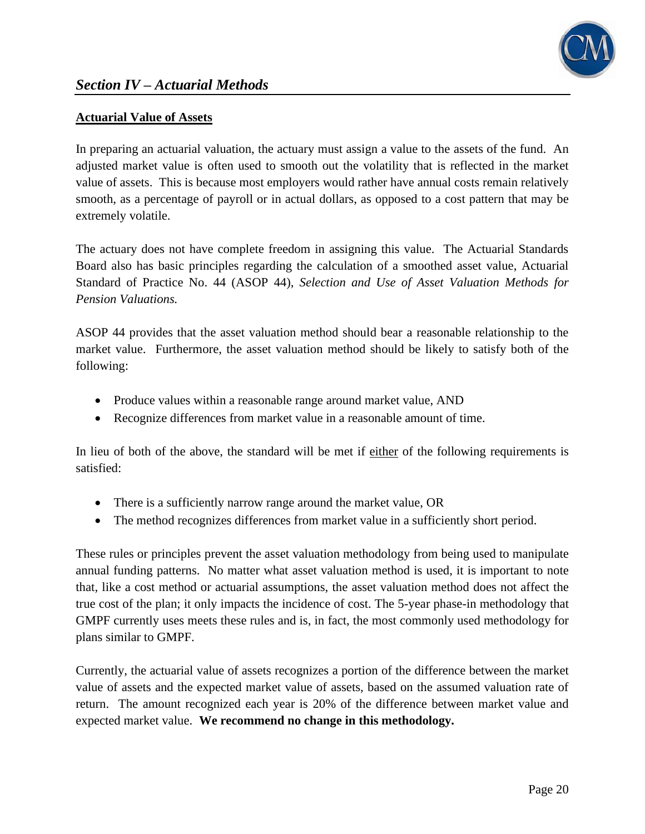

## **Actuarial Value of Assets**

In preparing an actuarial valuation, the actuary must assign a value to the assets of the fund. An adjusted market value is often used to smooth out the volatility that is reflected in the market value of assets. This is because most employers would rather have annual costs remain relatively smooth, as a percentage of payroll or in actual dollars, as opposed to a cost pattern that may be extremely volatile.

The actuary does not have complete freedom in assigning this value. The Actuarial Standards Board also has basic principles regarding the calculation of a smoothed asset value, Actuarial Standard of Practice No. 44 (ASOP 44), *Selection and Use of Asset Valuation Methods for Pension Valuations.*

ASOP 44 provides that the asset valuation method should bear a reasonable relationship to the market value. Furthermore, the asset valuation method should be likely to satisfy both of the following:

- Produce values within a reasonable range around market value, AND
- Recognize differences from market value in a reasonable amount of time.

In lieu of both of the above, the standard will be met if either of the following requirements is satisfied:

- There is a sufficiently narrow range around the market value, OR
- The method recognizes differences from market value in a sufficiently short period.

These rules or principles prevent the asset valuation methodology from being used to manipulate annual funding patterns. No matter what asset valuation method is used, it is important to note that, like a cost method or actuarial assumptions, the asset valuation method does not affect the true cost of the plan; it only impacts the incidence of cost. The 5-year phase-in methodology that GMPF currently uses meets these rules and is, in fact, the most commonly used methodology for plans similar to GMPF.

Currently, the actuarial value of assets recognizes a portion of the difference between the market value of assets and the expected market value of assets, based on the assumed valuation rate of return. The amount recognized each year is 20% of the difference between market value and expected market value. **We recommend no change in this methodology.**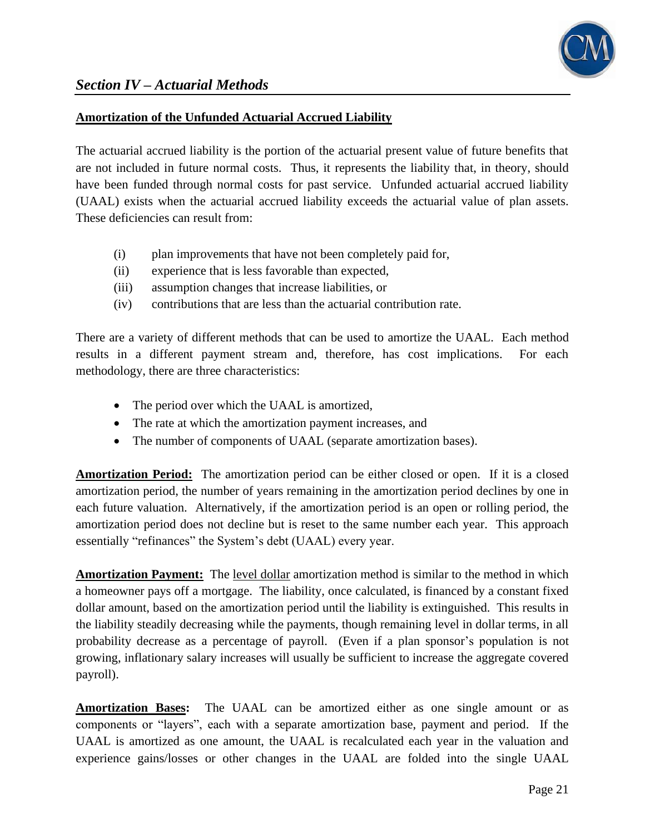

#### **Amortization of the Unfunded Actuarial Accrued Liability**

The actuarial accrued liability is the portion of the actuarial present value of future benefits that are not included in future normal costs. Thus, it represents the liability that, in theory, should have been funded through normal costs for past service. Unfunded actuarial accrued liability (UAAL) exists when the actuarial accrued liability exceeds the actuarial value of plan assets. These deficiencies can result from:

- (i) plan improvements that have not been completely paid for,
- (ii) experience that is less favorable than expected,
- (iii) assumption changes that increase liabilities, or
- (iv) contributions that are less than the actuarial contribution rate.

There are a variety of different methods that can be used to amortize the UAAL. Each method results in a different payment stream and, therefore, has cost implications. For each methodology, there are three characteristics:

- The period over which the UAAL is amortized,
- The rate at which the amortization payment increases, and
- The number of components of UAAL (separate amortization bases).

**Amortization Period:** The amortization period can be either closed or open. If it is a closed amortization period, the number of years remaining in the amortization period declines by one in each future valuation. Alternatively, if the amortization period is an open or rolling period, the amortization period does not decline but is reset to the same number each year. This approach essentially "refinances" the System's debt (UAAL) every year.

**Amortization Payment:** The level dollar amortization method is similar to the method in which a homeowner pays off a mortgage. The liability, once calculated, is financed by a constant fixed dollar amount, based on the amortization period until the liability is extinguished. This results in the liability steadily decreasing while the payments, though remaining level in dollar terms, in all probability decrease as a percentage of payroll. (Even if a plan sponsor's population is not growing, inflationary salary increases will usually be sufficient to increase the aggregate covered payroll).

**Amortization Bases:** The UAAL can be amortized either as one single amount or as components or "layers", each with a separate amortization base, payment and period. If the UAAL is amortized as one amount, the UAAL is recalculated each year in the valuation and experience gains/losses or other changes in the UAAL are folded into the single UAAL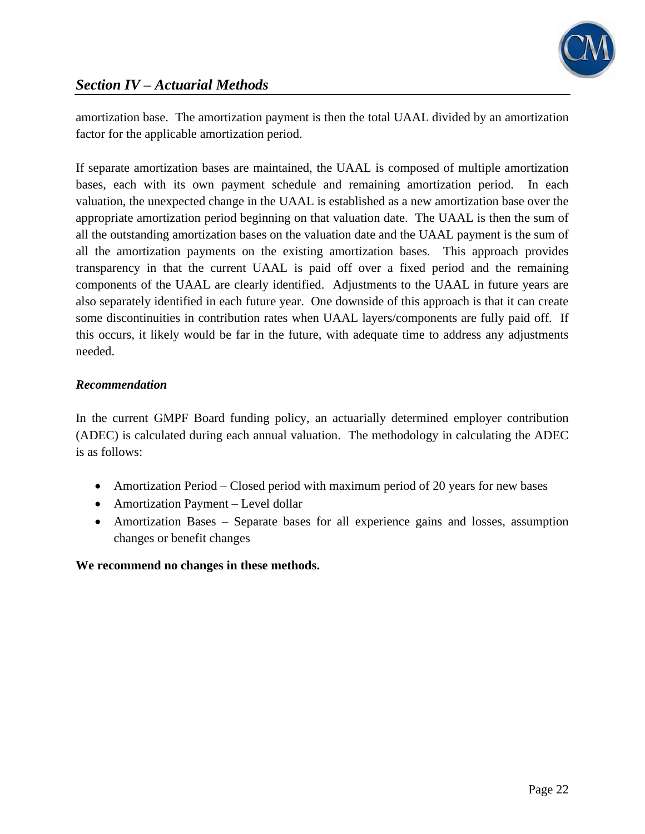

amortization base. The amortization payment is then the total UAAL divided by an amortization factor for the applicable amortization period.

If separate amortization bases are maintained, the UAAL is composed of multiple amortization bases, each with its own payment schedule and remaining amortization period. In each valuation, the unexpected change in the UAAL is established as a new amortization base over the appropriate amortization period beginning on that valuation date. The UAAL is then the sum of all the outstanding amortization bases on the valuation date and the UAAL payment is the sum of all the amortization payments on the existing amortization bases. This approach provides transparency in that the current UAAL is paid off over a fixed period and the remaining components of the UAAL are clearly identified. Adjustments to the UAAL in future years are also separately identified in each future year. One downside of this approach is that it can create some discontinuities in contribution rates when UAAL layers/components are fully paid off. If this occurs, it likely would be far in the future, with adequate time to address any adjustments needed.

## *Recommendation*

In the current GMPF Board funding policy, an actuarially determined employer contribution (ADEC) is calculated during each annual valuation. The methodology in calculating the ADEC is as follows:

- Amortization Period Closed period with maximum period of 20 years for new bases
- Amortization Payment Level dollar
- Amortization Bases Separate bases for all experience gains and losses, assumption changes or benefit changes

## **We recommend no changes in these methods.**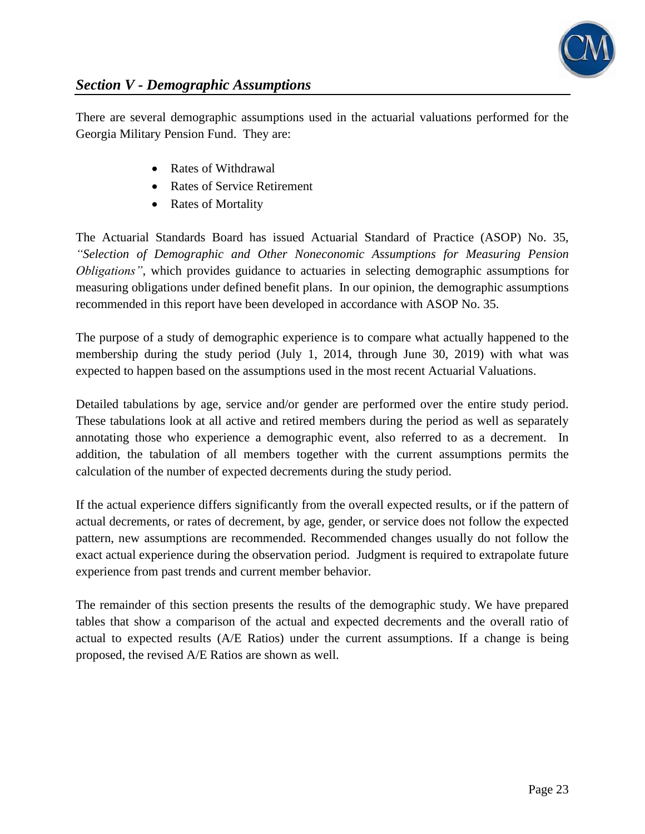

There are several demographic assumptions used in the actuarial valuations performed for the Georgia Military Pension Fund. They are:

- Rates of Withdrawal
- Rates of Service Retirement
- Rates of Mortality

The Actuarial Standards Board has issued Actuarial Standard of Practice (ASOP) No. 35, *"Selection of Demographic and Other Noneconomic Assumptions for Measuring Pension Obligations"*, which provides guidance to actuaries in selecting demographic assumptions for measuring obligations under defined benefit plans. In our opinion, the demographic assumptions recommended in this report have been developed in accordance with ASOP No. 35.

The purpose of a study of demographic experience is to compare what actually happened to the membership during the study period (July 1, 2014, through June 30, 2019) with what was expected to happen based on the assumptions used in the most recent Actuarial Valuations.

Detailed tabulations by age, service and/or gender are performed over the entire study period. These tabulations look at all active and retired members during the period as well as separately annotating those who experience a demographic event, also referred to as a decrement. In addition, the tabulation of all members together with the current assumptions permits the calculation of the number of expected decrements during the study period.

If the actual experience differs significantly from the overall expected results, or if the pattern of actual decrements, or rates of decrement, by age, gender, or service does not follow the expected pattern, new assumptions are recommended. Recommended changes usually do not follow the exact actual experience during the observation period. Judgment is required to extrapolate future experience from past trends and current member behavior.

The remainder of this section presents the results of the demographic study. We have prepared tables that show a comparison of the actual and expected decrements and the overall ratio of actual to expected results (A/E Ratios) under the current assumptions. If a change is being proposed, the revised A/E Ratios are shown as well.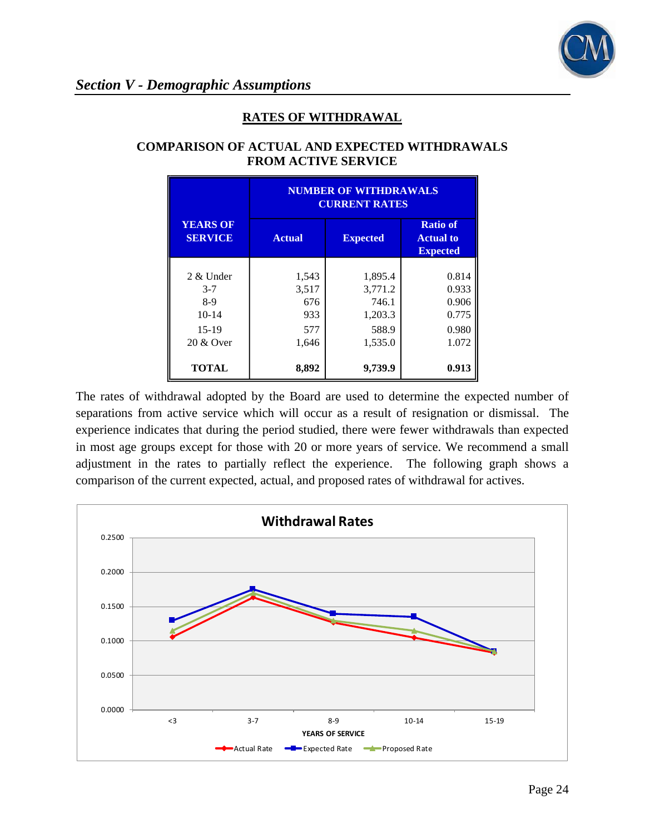

### **RATES OF WITHDRAWAL**

|                                   | <b>NUMBER OF WITHDRAWALS</b><br><b>CURRENT RATES</b> |         |                                                        |  |
|-----------------------------------|------------------------------------------------------|---------|--------------------------------------------------------|--|
| <b>YEARS OF</b><br><b>SERVICE</b> | <b>Actual</b><br><b>Expected</b>                     |         | <b>Ratio of</b><br><b>Actual to</b><br><b>Expected</b> |  |
|                                   |                                                      |         |                                                        |  |
| 2 & Under                         | 1,543                                                | 1,895.4 | 0.814                                                  |  |
| $3 - 7$                           | 3,517                                                | 3,771.2 | 0.933                                                  |  |
| $8-9$                             | 676                                                  | 746.1   | 0.906                                                  |  |
| $10-14$                           | 933                                                  | 1,203.3 | 0.775                                                  |  |
| $15-19$                           | 577                                                  | 588.9   | 0.980                                                  |  |
| 20 & Over                         | 1,646                                                | 1,535.0 | 1.072                                                  |  |
| <b>TOTAL</b>                      | 8,892                                                | 9,739.9 | 0.913                                                  |  |

#### **COMPARISON OF ACTUAL AND EXPECTED WITHDRAWALS FROM ACTIVE SERVICE**

The rates of withdrawal adopted by the Board are used to determine the expected number of separations from active service which will occur as a result of resignation or dismissal. The experience indicates that during the period studied, there were fewer withdrawals than expected in most age groups except for those with 20 or more years of service. We recommend a small adjustment in the rates to partially reflect the experience. The following graph shows a comparison of the current expected, actual, and proposed rates of withdrawal for actives.

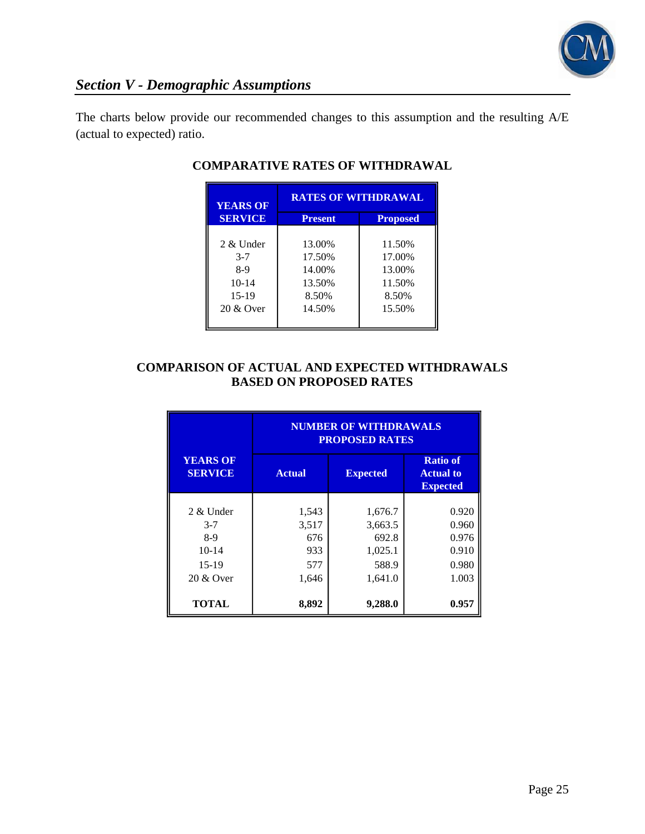

The charts below provide our recommended changes to this assumption and the resulting A/E (actual to expected) ratio.

| <b>YEARS OF</b> | <b>RATES OF WITHDRAWAL</b> |                 |  |
|-----------------|----------------------------|-----------------|--|
| <b>SERVICE</b>  | <b>Present</b>             | <b>Proposed</b> |  |
|                 |                            |                 |  |
| 2 & Under       | 13.00%                     | 11.50%          |  |
| $3 - 7$         | 17.50%                     | 17.00%          |  |
| 8-9             | 14.00%                     | 13.00%          |  |
| $10-14$         | 13.50%                     | 11.50%          |  |
| $15-19$         | 8.50%                      | 8.50%           |  |
| 20 & Over       | 14.50%                     | 15.50%          |  |
|                 |                            |                 |  |

## **COMPARATIVE RATES OF WITHDRAWAL**

### **COMPARISON OF ACTUAL AND EXPECTED WITHDRAWALS BASED ON PROPOSED RATES**

|                                                                    | <b>NUMBER OF WITHDRAWALS</b><br><b>PROPOSED RATES</b> |                                                            |                                                        |  |  |
|--------------------------------------------------------------------|-------------------------------------------------------|------------------------------------------------------------|--------------------------------------------------------|--|--|
| <b>YEARS OF</b><br><b>SERVICE</b>                                  | <b>Actual</b>                                         | <b>Expected</b>                                            | <b>Ratio of</b><br><b>Actual to</b><br><b>Expected</b> |  |  |
| 2 & Under<br>$3 - 7$<br>$8-9$<br>$10 - 14$<br>$15-19$<br>20 & Over | 1,543<br>3,517<br>676<br>933<br>577<br>1,646          | 1,676.7<br>3,663.5<br>692.8<br>1,025.1<br>588.9<br>1,641.0 | 0.920<br>0.960<br>0.976<br>0.910<br>0.980<br>1.003     |  |  |
| <b>TOTAL</b>                                                       | 8,892                                                 | 9,288.0                                                    | 0.957                                                  |  |  |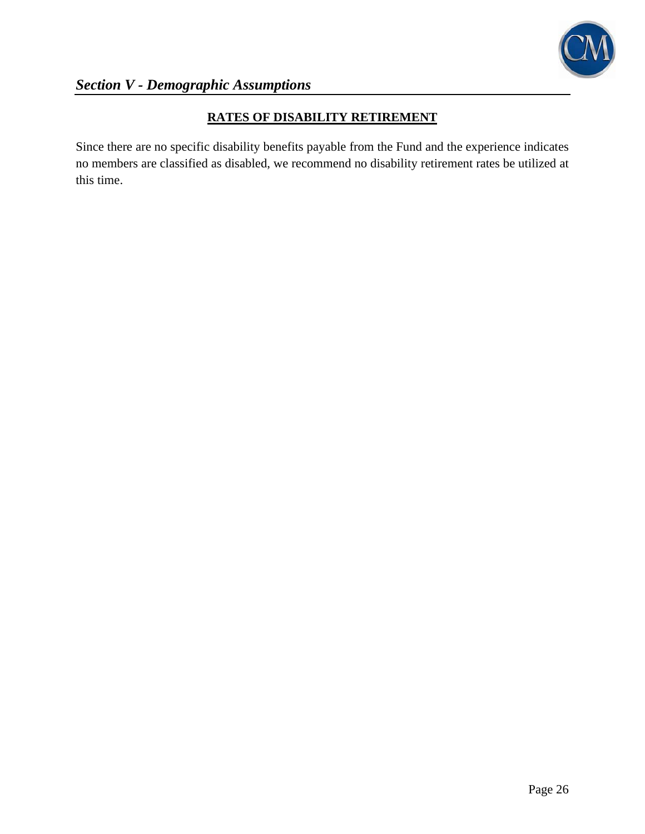

## **RATES OF DISABILITY RETIREMENT**

Since there are no specific disability benefits payable from the Fund and the experience indicates no members are classified as disabled, we recommend no disability retirement rates be utilized at this time.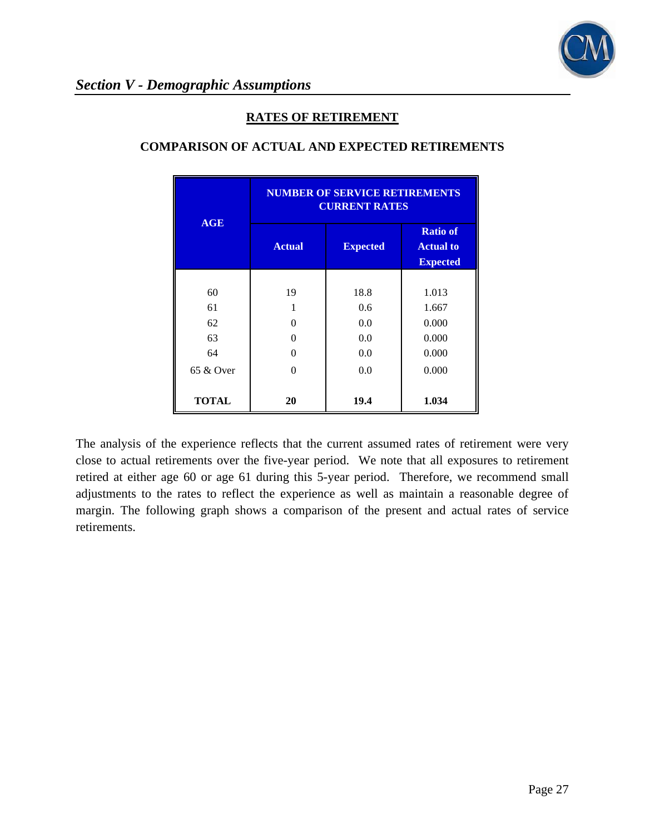

#### **RATES OF RETIREMENT**

|              | <b>NUMBER OF SERVICE RETIREMENTS</b><br><b>CURRENT RATES</b> |                 |                                                        |  |
|--------------|--------------------------------------------------------------|-----------------|--------------------------------------------------------|--|
| <b>AGE</b>   | <b>Actual</b>                                                | <b>Expected</b> | <b>Ratio of</b><br><b>Actual to</b><br><b>Expected</b> |  |
|              |                                                              |                 |                                                        |  |
| 60           | 19                                                           | 18.8            | 1.013                                                  |  |
| 61           | 1                                                            | 0.6             | 1.667                                                  |  |
| 62           | 0                                                            | 0.0             | 0.000                                                  |  |
| 63           | 0                                                            | 0.0             | 0.000                                                  |  |
| 64           | 0                                                            | 0.0             | 0.000                                                  |  |
| 65 & Over    | 0                                                            | 0.0             | 0.000                                                  |  |
| <b>TOTAL</b> | 20                                                           | 19.4            | 1.034                                                  |  |

### **COMPARISON OF ACTUAL AND EXPECTED RETIREMENTS**

The analysis of the experience reflects that the current assumed rates of retirement were very close to actual retirements over the five-year period. We note that all exposures to retirement retired at either age 60 or age 61 during this 5-year period. Therefore, we recommend small adjustments to the rates to reflect the experience as well as maintain a reasonable degree of margin. The following graph shows a comparison of the present and actual rates of service retirements.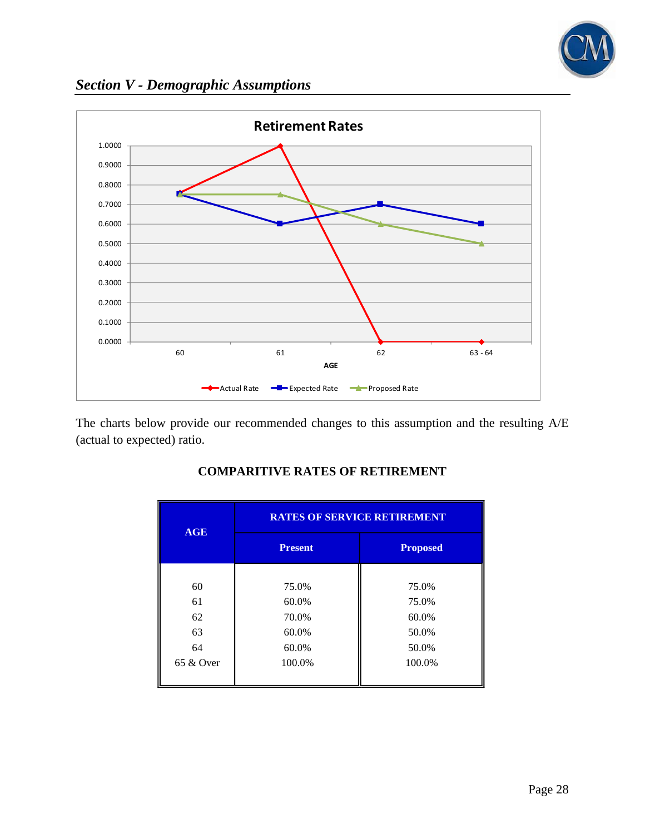

*Section V - Demographic Assumptions*



The charts below provide our recommended changes to this assumption and the resulting A/E (actual to expected) ratio.

| <b>AGE</b>   | <b>RATES OF SERVICE RETIREMENT</b> |                 |  |  |
|--------------|------------------------------------|-----------------|--|--|
|              | <b>Present</b>                     | <b>Proposed</b> |  |  |
|              |                                    |                 |  |  |
| 60           | 75.0%                              | 75.0%           |  |  |
| 61           | 60.0%                              | 75.0%           |  |  |
| 62           | 70.0%                              | 60.0%           |  |  |
| 63           | 60.0%                              | 50.0%           |  |  |
| 64           | 60.0%                              | 50.0%           |  |  |
| $65 \&$ Over | 100.0%                             | 100.0%          |  |  |
|              |                                    |                 |  |  |

## **COMPARITIVE RATES OF RETIREMENT**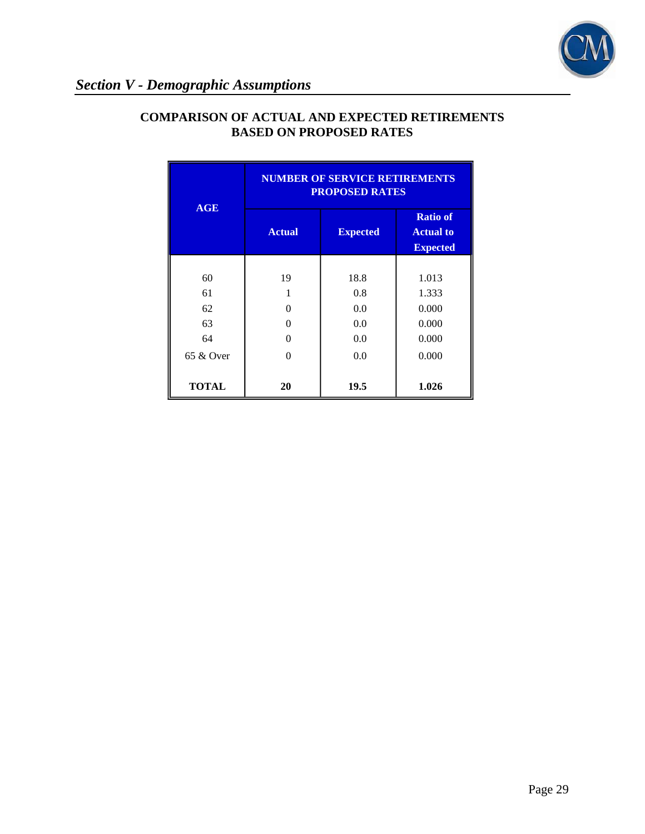

|              | <b>NUMBER OF SERVICE RETIREMENTS</b><br><b>PROPOSED RATES</b> |      |                                                        |  |
|--------------|---------------------------------------------------------------|------|--------------------------------------------------------|--|
| <b>AGE</b>   | <b>Actual</b><br><b>Expected</b>                              |      | <b>Ratio of</b><br><b>Actual to</b><br><b>Expected</b> |  |
|              |                                                               |      |                                                        |  |
| 60           | 19                                                            | 18.8 | 1.013                                                  |  |
| 61           |                                                               | 0.8  | 1.333                                                  |  |
| 62           | 0                                                             | 0.0  | 0.000                                                  |  |
| 63           | 0                                                             | 0.0  | 0.000                                                  |  |
| 64           | ∩                                                             | 0.0  | 0.000                                                  |  |
| $65 \&$ Over | ∩                                                             | 0.0  | 0.000                                                  |  |
| <b>TOTAL</b> | 20                                                            | 19.5 | 1.026                                                  |  |

## **COMPARISON OF ACTUAL AND EXPECTED RETIREMENTS BASED ON PROPOSED RATES**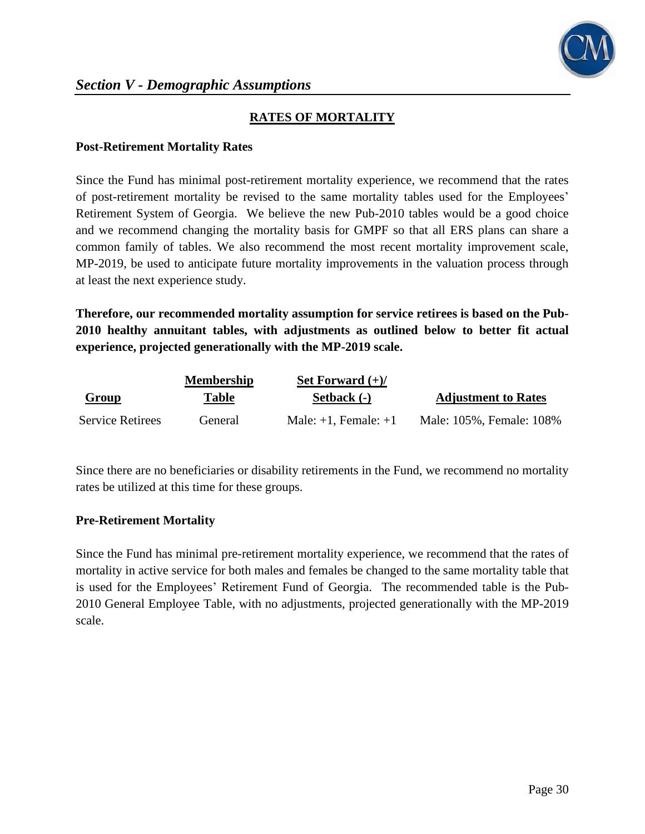

## **RATES OF MORTALITY**

#### **Post-Retirement Mortality Rates**

Since the Fund has minimal post-retirement mortality experience, we recommend that the rates of post-retirement mortality be revised to the same mortality tables used for the Employees' Retirement System of Georgia. We believe the new Pub-2010 tables would be a good choice and we recommend changing the mortality basis for GMPF so that all ERS plans can share a common family of tables. We also recommend the most recent mortality improvement scale, MP-2019, be used to anticipate future mortality improvements in the valuation process through at least the next experience study.

**Therefore, our recommended mortality assumption for service retirees is based on the Pub-2010 healthy annuitant tables, with adjustments as outlined below to better fit actual experience, projected generationally with the MP-2019 scale.**

|                         | <b>Membership</b> | Set Forward $(+)/$        |                            |
|-------------------------|-------------------|---------------------------|----------------------------|
| <b>Group</b>            | Table             | Setback (-)               | <b>Adjustment to Rates</b> |
| <b>Service Retirees</b> | General)          | Male: $+1$ , Female: $+1$ | Male: 105%, Female: 108%   |

Since there are no beneficiaries or disability retirements in the Fund, we recommend no mortality rates be utilized at this time for these groups.

#### **Pre-Retirement Mortality**

Since the Fund has minimal pre-retirement mortality experience, we recommend that the rates of mortality in active service for both males and females be changed to the same mortality table that is used for the Employees' Retirement Fund of Georgia. The recommended table is the Pub-2010 General Employee Table, with no adjustments, projected generationally with the MP-2019 scale.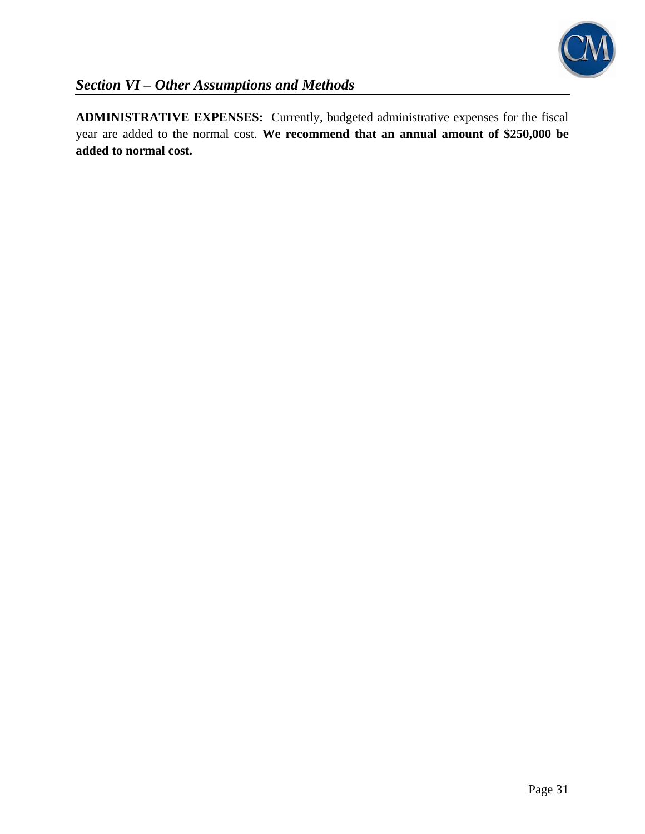

**ADMINISTRATIVE EXPENSES:** Currently, budgeted administrative expenses for the fiscal year are added to the normal cost. **We recommend that an annual amount of \$250,000 be added to normal cost.**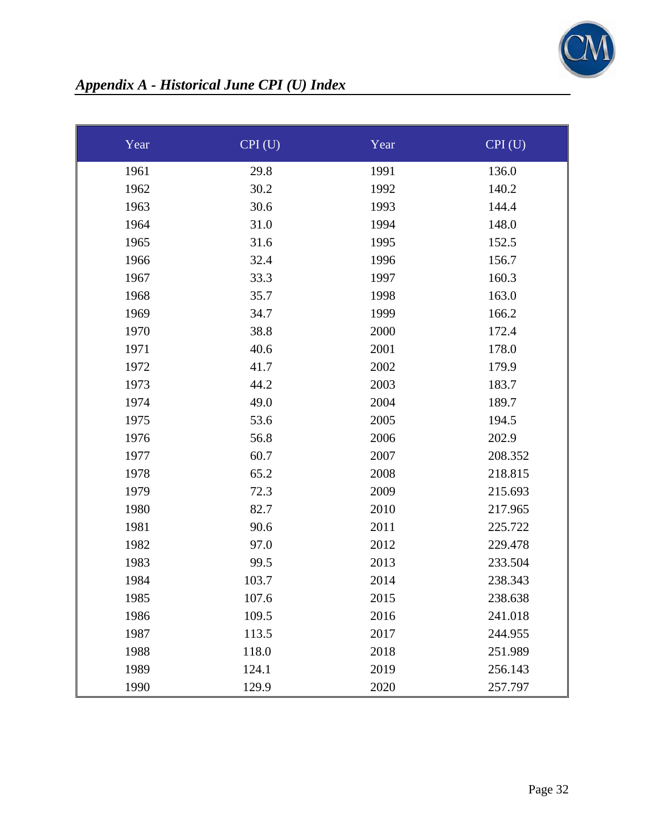

# *Appendix A - Historical June CPI (U) Index*

| Year | CPI(U) | Year | CPI(U)  |
|------|--------|------|---------|
| 1961 | 29.8   | 1991 | 136.0   |
| 1962 | 30.2   | 1992 | 140.2   |
| 1963 | 30.6   | 1993 | 144.4   |
| 1964 | 31.0   | 1994 | 148.0   |
| 1965 | 31.6   | 1995 | 152.5   |
| 1966 | 32.4   | 1996 | 156.7   |
| 1967 | 33.3   | 1997 | 160.3   |
| 1968 | 35.7   | 1998 | 163.0   |
| 1969 | 34.7   | 1999 | 166.2   |
| 1970 | 38.8   | 2000 | 172.4   |
| 1971 | 40.6   | 2001 | 178.0   |
| 1972 | 41.7   | 2002 | 179.9   |
| 1973 | 44.2   | 2003 | 183.7   |
| 1974 | 49.0   | 2004 | 189.7   |
| 1975 | 53.6   | 2005 | 194.5   |
| 1976 | 56.8   | 2006 | 202.9   |
| 1977 | 60.7   | 2007 | 208.352 |
| 1978 | 65.2   | 2008 | 218.815 |
| 1979 | 72.3   | 2009 | 215.693 |
| 1980 | 82.7   | 2010 | 217.965 |
| 1981 | 90.6   | 2011 | 225.722 |
| 1982 | 97.0   | 2012 | 229.478 |
| 1983 | 99.5   | 2013 | 233.504 |
| 1984 | 103.7  | 2014 | 238.343 |
| 1985 | 107.6  | 2015 | 238.638 |
| 1986 | 109.5  | 2016 | 241.018 |
| 1987 | 113.5  | 2017 | 244.955 |
| 1988 | 118.0  | 2018 | 251.989 |
| 1989 | 124.1  | 2019 | 256.143 |
| 1990 | 129.9  | 2020 | 257.797 |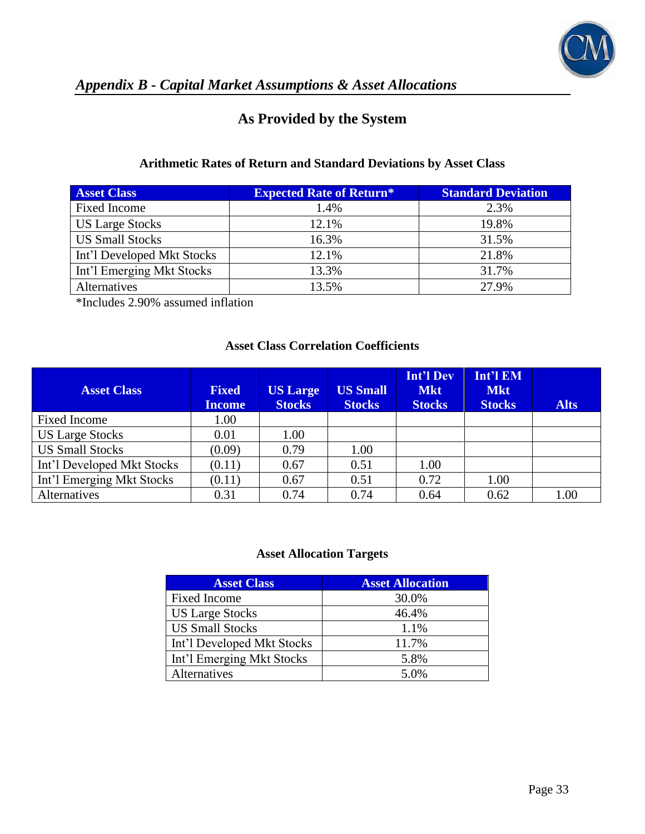

# *Appendix B - Capital Market Assumptions & Asset Allocations*

## **As Provided by the System**

## **Arithmetic Rates of Return and Standard Deviations by Asset Class**

| <b>Asset Class</b>         | <b>Expected Rate of Return*</b> | <b>Standard Deviation</b> |
|----------------------------|---------------------------------|---------------------------|
| <b>Fixed Income</b>        | 1.4%                            | 2.3%                      |
| <b>US Large Stocks</b>     | 12.1%                           | 19.8%                     |
| <b>US Small Stocks</b>     | 16.3%                           | 31.5%                     |
| Int'l Developed Mkt Stocks | 12.1%                           | 21.8%                     |
| Int'l Emerging Mkt Stocks  | 13.3%                           | 31.7%                     |
| Alternatives               | 13.5%                           | 27.9%                     |

\*Includes 2.90% assumed inflation

#### **Asset Class Correlation Coefficients**

| <b>Asset Class</b>         | <b>Fixed</b><br><b>Income</b> | <b>US Large</b><br><b>Stocks</b> | <b>US Small</b><br><b>Stocks</b> | <b>Int'l Dev</b><br><b>Mkt</b><br><b>Stocks</b> | Int'l EM<br><b>Mkt</b><br><b>Stocks</b> | <b>Alts</b> |
|----------------------------|-------------------------------|----------------------------------|----------------------------------|-------------------------------------------------|-----------------------------------------|-------------|
| Fixed Income               | 1.00                          |                                  |                                  |                                                 |                                         |             |
| <b>US Large Stocks</b>     | 0.01                          | 1.00                             |                                  |                                                 |                                         |             |
| <b>US Small Stocks</b>     | (0.09)                        | 0.79                             | 1.00                             |                                                 |                                         |             |
| Int'l Developed Mkt Stocks | (0.11)                        | 0.67                             | 0.51                             | 1.00                                            |                                         |             |
| Int'l Emerging Mkt Stocks  | (0.11)                        | 0.67                             | 0.51                             | 0.72                                            | 1.00                                    |             |
| Alternatives               | 0.31                          | 0.74                             | 0.74                             | 0.64                                            | 0.62                                    | 1.00        |

### **Asset Allocation Targets**

| <b>Asset Class</b>         | <b>Asset Allocation</b> |
|----------------------------|-------------------------|
| Fixed Income               | 30.0%                   |
| <b>US Large Stocks</b>     | 46.4%                   |
| <b>US Small Stocks</b>     | 1.1%                    |
| Int'l Developed Mkt Stocks | 11.7%                   |
| Int'l Emerging Mkt Stocks  | 5.8%                    |
| <b>Alternatives</b>        | 5.0%                    |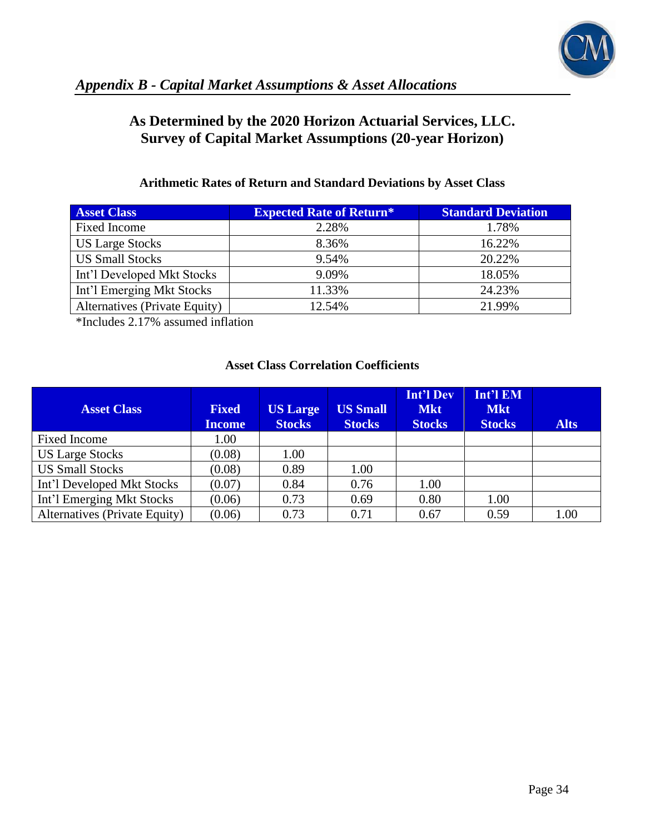

## **As Determined by the 2020 Horizon Actuarial Services, LLC. Survey of Capital Market Assumptions (20-year Horizon)**

## **Arithmetic Rates of Return and Standard Deviations by Asset Class**

| <b>Asset Class</b>            | <b>Expected Rate of Return*</b> | <b>Standard Deviation</b> |
|-------------------------------|---------------------------------|---------------------------|
| Fixed Income                  | 2.28%                           | 1.78%                     |
| <b>US Large Stocks</b>        | 8.36%                           | 16.22%                    |
| <b>US Small Stocks</b>        | 9.54%                           | 20.22%                    |
| Int'l Developed Mkt Stocks    | 9.09%                           | 18.05%                    |
| Int'l Emerging Mkt Stocks     | 11.33%                          | 24.23%                    |
| Alternatives (Private Equity) | 12.54%                          | 21.99%                    |

\*Includes 2.17% assumed inflation

## **Asset Class Correlation Coefficients**

| <b>Asset Class</b>            | <b>Fixed</b><br><b>Income</b> | <b>US Large</b><br><b>Stocks</b> | <b>US Small</b><br><b>Stocks</b> | <b>Int'l Dev</b><br><b>Mkt</b><br><b>Stocks</b> | Int'l EM<br><b>Mkt</b><br><b>Stocks</b> | <b>Alts</b> |
|-------------------------------|-------------------------------|----------------------------------|----------------------------------|-------------------------------------------------|-----------------------------------------|-------------|
| Fixed Income                  | 1.00                          |                                  |                                  |                                                 |                                         |             |
| <b>US Large Stocks</b>        | (0.08)                        | 1.00                             |                                  |                                                 |                                         |             |
| <b>US Small Stocks</b>        | (0.08)                        | 0.89                             | 1.00                             |                                                 |                                         |             |
| Int'l Developed Mkt Stocks    | (0.07)                        | 0.84                             | 0.76                             | 1.00                                            |                                         |             |
| Int'l Emerging Mkt Stocks     | (0.06)                        | 0.73                             | 0.69                             | 0.80                                            | 1.00                                    |             |
| Alternatives (Private Equity) | (0.06)                        | 0.73                             | 0.71                             | 0.67                                            | 0.59                                    | 1.00        |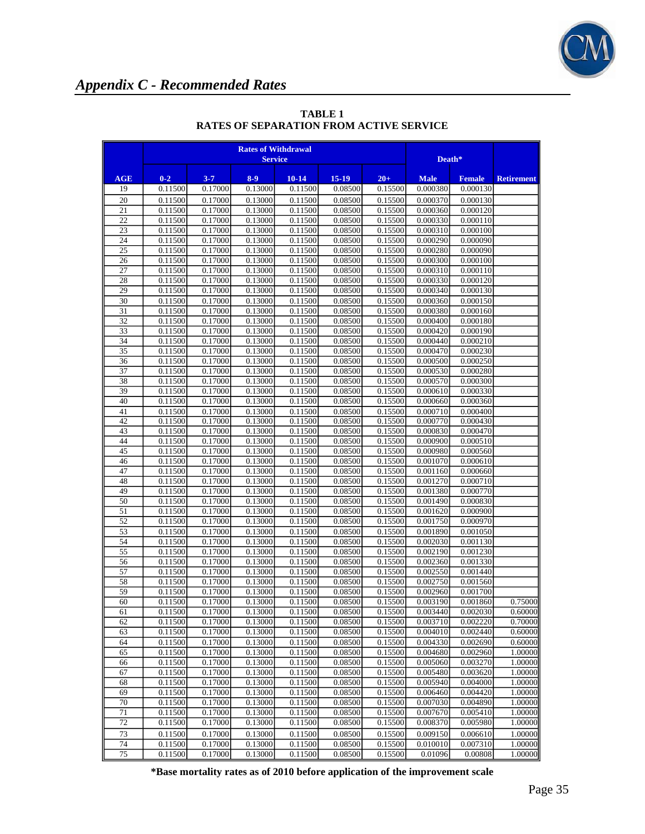

|                 | <b>Rates of Withdrawal</b><br><b>Service</b> |                    |                    |                    |                    |                    | Death*               |                      |                   |
|-----------------|----------------------------------------------|--------------------|--------------------|--------------------|--------------------|--------------------|----------------------|----------------------|-------------------|
| AGE             | $0 - 2$                                      | $3 - 7$            | $8-9$              | $10 - 14$          | $15-19$            | $20 +$             | <b>Male</b>          | <b>Female</b>        | <b>Retirement</b> |
| 19              | 0.11500                                      | 0.17000            | 0.13000            | 0.11500            | 0.08500            | 0.15500            | 0.000380             | 0.000130             |                   |
| 20              | 0.11500                                      | 0.17000            | 0.13000            | 0.11500            | 0.08500            | 0.15500            | 0.000370             | 0.000130             |                   |
| 21              | 0.11500                                      | 0.17000            | 0.13000            | 0.11500            | 0.08500            | 0.15500            | 0.000360             | 0.000120             |                   |
| 22              | 0.11500                                      | 0.17000            | 0.13000            | 0.11500            | 0.08500            | 0.15500            | 0.000330             | 0.000110             |                   |
| 23              | 0.11500                                      | 0.17000            | 0.13000            | 0.11500            | 0.08500            | 0.15500            | 0.000310             | 0.000100             |                   |
| 24              | 0.11500                                      | 0.17000            | 0.13000            | 0.11500            | 0.08500            | 0.15500            | 0.000290             | 0.000090             |                   |
| $\overline{25}$ | 0.11500                                      | 0.17000            | 0.13000            | 0.11500            | 0.08500            | 0.15500            | 0.000280             | 0.000090             |                   |
| 26              | 0.11500                                      | 0.17000            | 0.13000            | 0.11500            | 0.08500            | 0.15500            | 0.000300             | 0.000100             |                   |
| 27              | 0.11500                                      | 0.17000            | 0.13000            | 0.11500            | 0.08500            | 0.15500            | 0.000310             | 0.000110             |                   |
| 28              | 0.11500                                      | 0.17000            | 0.13000            | 0.11500            | 0.08500            | 0.15500            | 0.000330             | 0.000120             |                   |
| 29              | 0.11500                                      | 0.17000            | 0.13000            | 0.11500            | 0.08500            | 0.15500            | 0.000340             | 0.000130             |                   |
| 30              | 0.11500                                      | 0.17000            | 0.13000            | 0.11500            | 0.08500            | 0.15500            | 0.000360             | 0.000150             |                   |
| 31<br>32        | 0.11500<br>0.11500                           | 0.17000<br>0.17000 | 0.13000<br>0.13000 | 0.11500<br>0.11500 | 0.08500<br>0.08500 | 0.15500<br>0.15500 | 0.000380<br>0.000400 | 0.000160<br>0.000180 |                   |
| 33              | 0.11500                                      | 0.17000            | 0.13000            | 0.11500            | 0.08500            | 0.15500            | 0.000420             | 0.000190             |                   |
| 34              | 0.11500                                      | 0.17000            | 0.13000            | 0.11500            | 0.08500            | 0.15500            | 0.000440             | 0.000210             |                   |
| 35              | 0.11500                                      | 0.17000            | 0.13000            | 0.11500            | 0.08500            | 0.15500            | 0.000470             | 0.000230             |                   |
| 36              | 0.11500                                      | 0.17000            | 0.13000            | 0.11500            | 0.08500            | 0.15500            | 0.000500             | 0.000250             |                   |
| 37              | 0.11500                                      | 0.17000            | 0.13000            | 0.11500            | 0.08500            | 0.15500            | 0.000530             | 0.000280             |                   |
| 38              | 0.11500                                      | 0.17000            | 0.13000            | 0.11500            | 0.08500            | 0.15500            | 0.000570             | 0.000300             |                   |
| 39              | 0.11500                                      | 0.17000            | 0.13000            | 0.11500            | 0.08500            | 0.15500            | 0.000610             | 0.000330             |                   |
| 40              | 0.11500                                      | 0.17000            | 0.13000            | 0.11500            | 0.08500            | 0.15500            | 0.000660             | 0.000360             |                   |
| 41              | 0.11500                                      | 0.17000            | 0.13000            | 0.11500            | 0.08500            | 0.15500            | 0.000710             | 0.000400             |                   |
| 42              | 0.11500                                      | 0.17000            | 0.13000            | 0.11500            | 0.08500            | 0.15500            | 0.000770             | 0.000430             |                   |
| 43              | 0.11500                                      | 0.17000            | 0.13000            | 0.11500            | 0.08500            | 0.15500            | 0.000830             | 0.000470             |                   |
| 44              | 0.11500                                      | 0.17000            | 0.13000            | 0.11500            | 0.08500            | 0.15500            | 0.000900             | 0.000510             |                   |
| 45              | 0.11500                                      | 0.17000            | 0.13000            | 0.11500            | 0.08500            | 0.15500            | 0.000980             | 0.000560             |                   |
| 46              | 0.11500                                      | 0.17000            | 0.13000            | 0.11500            | 0.08500            | 0.15500            | 0.001070             | 0.000610             |                   |
| 47              | 0.11500                                      | 0.17000            | 0.13000            | 0.11500            | 0.08500            | 0.15500            | 0.001160             | 0.000660             |                   |
| 48              | 0.11500                                      | 0.17000            | 0.13000            | 0.11500            | 0.08500            | 0.15500            | 0.001270             | 0.000710             |                   |
| 49              | 0.11500                                      | 0.17000            | 0.13000            | 0.11500            | 0.08500            | 0.15500            | 0.001380             | 0.000770             |                   |
| 50              | 0.11500                                      | 0.17000            | 0.13000            | 0.11500            | 0.08500            | 0.15500            | 0.001490             | 0.000830             |                   |
| 51              | 0.11500                                      | 0.17000            | 0.13000            | 0.11500            | 0.08500            | 0.15500            | 0.001620             | 0.000900             |                   |
| 52              | 0.11500                                      | 0.17000            | 0.13000            | 0.11500            | 0.08500            | 0.15500            | 0.001750             | 0.000970             |                   |
| 53              | 0.11500                                      | 0.17000            | 0.13000            | 0.11500            | 0.08500            | 0.15500            | 0.001890             | 0.001050             |                   |
| 54              | 0.11500                                      | 0.17000            | 0.13000            | 0.11500            | 0.08500            | 0.15500            | 0.002030             | 0.001130             |                   |
| 55              | 0.11500                                      | 0.17000            | 0.13000            | 0.11500            | 0.08500            | 0.15500            | 0.002190             | 0.001230             |                   |
| 56<br>57        | 0.11500<br>0.11500                           | 0.17000<br>0.17000 | 0.13000<br>0.13000 | 0.11500<br>0.11500 | 0.08500<br>0.08500 | 0.15500<br>0.15500 | 0.002360<br>0.002550 | 0.001330<br>0.001440 |                   |
| 58              | 0.11500                                      | 0.17000            | 0.13000            | 0.11500            | 0.08500            | 0.15500            | 0.002750             | 0.001560             |                   |
| 59              | 0.11500                                      | 0.17000            | 0.13000            | 0.11500            | 0.08500            | 0.15500            | 0.002960             | 0.001700             |                   |
| 60              | 0.11500                                      | 0.17000            | 0.13000            | 0.11500            | 0.08500            | 0.15500            | 0.003190             | 0.001860             | 0.75000           |
| 61              | 0.11500                                      | 0.17000            | 0.13000            | 0.11500            | 0.08500            | 0.15500            | 0.003440             | 0.002030             | 0.60000           |
| 62              | 0.11500                                      | 0.17000            | 0.13000            | 0.11500            | 0.08500            | 0.15500            | 0.003710             | 0.002220             | 0.70000           |
| 63              | 0.11500                                      | 0.17000            | 0.13000            | 0.11500            | 0.08500            | 0.15500            | 0.004010             | 0.002440             | 0.60000           |
| 64              | 0.11500                                      | 0.17000            | 0.13000            | 0.11500            | 0.08500            | 0.15500            | 0.004330             | 0.002690             | 0.60000           |
| 65              | 0.11500                                      | 0.17000            | 0.13000            | 0.11500            | 0.08500            | 0.15500            | 0.004680             | 0.002960             | 1.00000           |
| 66              | 0.11500                                      | 0.17000            | 0.13000            | 0.11500            | 0.08500            | 0.15500            | 0.005060             | 0.003270             | 1.00000           |
| 67              | 0.11500                                      | 0.17000            | 0.13000            | 0.11500            | 0.08500            | 0.15500            | 0.005480             | 0.003620             | 1.00000           |
| 68              | 0.11500                                      | 0.17000            | 0.13000            | 0.11500            | 0.08500            | 0.15500            | 0.005940             | 0.004000             | 1.00000           |
| 69              | 0.11500                                      | 0.17000            | 0.13000            | 0.11500            | 0.08500            | 0.15500            | 0.006460             | 0.004420             | 1.00000           |
| 70              | 0.11500                                      | 0.17000            | 0.13000            | 0.11500            | 0.08500            | 0.15500            | 0.007030             | 0.004890             | 1.00000           |
| 71              | 0.11500                                      | 0.17000            | 0.13000            | 0.11500            | 0.08500            | 0.15500            | 0.007670             | 0.005410             | 1.00000           |
| 72              | 0.11500                                      | 0.17000            | 0.13000            | 0.11500            | 0.08500            | 0.15500            | 0.008370             | 0.005980             | 1.00000           |
| 73              | 0.11500                                      | 0.17000            | 0.13000            | 0.11500            | 0.08500            | 0.15500            | 0.009150             | 0.006610             | 1.00000           |
| 74              | 0.11500                                      | 0.17000            | 0.13000            | 0.11500            | 0.08500            | 0.15500            | 0.010010             | 0.007310             | 1.00000           |
| 75              | 0.11500                                      | 0.17000            | 0.13000            | 0.11500            | 0.08500            | 0.15500            | 0.01096              | 0.00808              | 1.00000           |

**TABLE 1 RATES OF SEPARATION FROM ACTIVE SERVICE**

**\*Base mortality rates as of 2010 before application of the improvement scale**